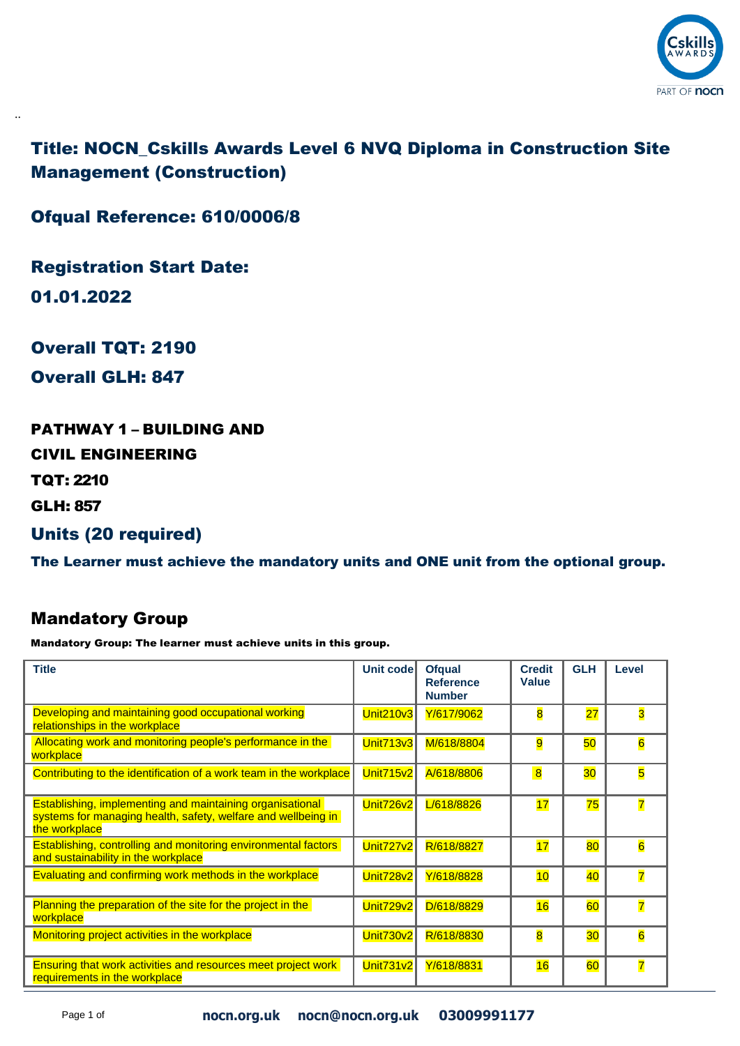

Title: NOCN\_Cskills Awards Level 6 NVQ Diploma in Construction Site Management (Construction)

Ofqual Reference: 610/0006/8

Registration Start Date:

01.01.2022

..

Overall TQT: 2190

Overall GLH: 847

PATHWAY 1 – BUILDING AND

CIVIL ENGINEERING

TQT: 2210

GLH: 857

Units (20 required)

The Learner must achieve the mandatory units and ONE unit from the optional group.

### Mandatory Group

| <b>Title</b>                                                                                                                                       | Unit code        | <b>Ofqual</b><br><b>Reference</b><br><b>Number</b> | <b>Credit</b><br>Value  | <b>GLH</b>      | Level                   |
|----------------------------------------------------------------------------------------------------------------------------------------------------|------------------|----------------------------------------------------|-------------------------|-----------------|-------------------------|
| Developing and maintaining good occupational working<br>relationships in the workplace                                                             | <b>Unit210v3</b> | Y/617/9062                                         | $\overline{\mathbf{8}}$ | $\overline{27}$ | 3                       |
| Allocating work and monitoring people's performance in the<br>workplace                                                                            | <b>Unit713v3</b> | M/618/8804                                         | 9                       | 50              | $\overline{6}$          |
| Contributing to the identification of a work team in the workplace                                                                                 | <b>Unit715v2</b> | A/618/8806                                         | $\overline{8}$          | 30 <sub>o</sub> | 5                       |
| <b>Establishing, implementing and maintaining organisational</b><br>systems for managing health, safety, welfare and wellbeing in<br>the workplace | Unit726v2        | L/618/8826                                         | 17                      | 75              | $\overline{\mathbf{7}}$ |
| Establishing, controlling and monitoring environmental factors<br>and sustainability in the workplace                                              | <b>Unit727v2</b> | R/618/8827                                         | 17                      | 80              | $6\overline{6}$         |
| Evaluating and confirming work methods in the workplace                                                                                            | <b>Unit728v2</b> | Y/618/8828                                         | 10                      | 40              | $\overline{7}$          |
| Planning the preparation of the site for the project in the<br>workplace                                                                           | <b>Unit729v2</b> | D/618/8829                                         | 16                      | 60              | $\overline{7}$          |
| Monitoring project activities in the workplace                                                                                                     | <b>Unit730v2</b> | R/618/8830                                         | $\overline{\mathbf{8}}$ | 30              | $\overline{6}$          |
| <b>Ensuring that work activities and resources meet project work</b><br>requirements in the workplace                                              | <b>Unit731v2</b> | Y/618/8831                                         | 16                      | 60              | $\overline{7}$          |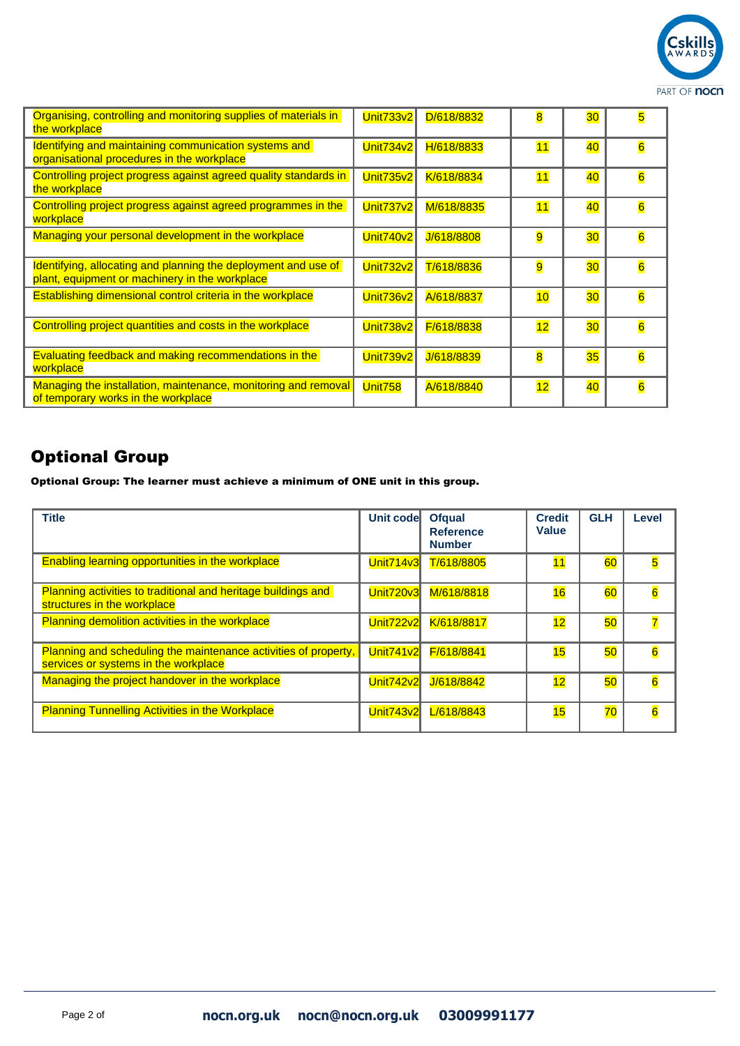

| Organising, controlling and monitoring supplies of materials in<br>the workplace                                 | Unit733v2        | D/618/8832 | 8                       | 30              | 5                       |
|------------------------------------------------------------------------------------------------------------------|------------------|------------|-------------------------|-----------------|-------------------------|
| Identifying and maintaining communication systems and<br>organisational procedures in the workplace              | <b>Unit734v2</b> | H/618/8833 | 11                      | 40              | $\overline{6}$          |
| Controlling project progress against agreed quality standards in<br>the workplace                                | <b>Unit735v2</b> | K/618/8834 | 11                      | 40              | $\overline{\mathbf{6}}$ |
| Controlling project progress against agreed programmes in the<br>workplace                                       | <b>Unit737v2</b> | M/618/8835 | 11                      | 40              | $\overline{6}$          |
| Managing your personal development in the workplace                                                              | <b>Unit740v2</b> | J/618/8808 | 9                       | 30              | $\overline{6}$          |
| Identifying, allocating and planning the deployment and use of<br>plant, equipment or machinery in the workplace | <b>Unit732v2</b> | T/618/8836 | 9                       | 30 <sub>o</sub> | 6                       |
| <b>Establishing dimensional control criteria in the workplace</b>                                                | <b>Unit736v2</b> | A/618/8837 | 10                      | 30              | $\overline{6}$          |
| Controlling project quantities and costs in the workplace                                                        | <b>Unit738v2</b> | F/618/8838 | 12                      | 30              | $\overline{6}$          |
| Evaluating feedback and making recommendations in the<br>workplace                                               | <b>Unit739v2</b> | J/618/8839 | $\overline{\mathbf{8}}$ | 35              | $\overline{\mathbf{6}}$ |
| Managing the installation, maintenance, monitoring and removal<br>of temporary works in the workplace            | <b>Unit758</b>   | A/618/8840 | 12                      | 40              | 6                       |

Optional Group: The learner must achieve a minimum of ONE unit in this group.

| <b>Title</b>                                                                                            | Unit code        | <b>Ofqual</b><br><b>Reference</b><br><b>Number</b> | <b>Credit</b><br><b>Value</b> | <b>GLH</b> | Level                   |
|---------------------------------------------------------------------------------------------------------|------------------|----------------------------------------------------|-------------------------------|------------|-------------------------|
| <b>Enabling learning opportunities in the workplace</b>                                                 | <b>Unit714v3</b> | T/618/8805                                         |                               | 60         | $\overline{\mathbf{5}}$ |
| <b>Planning activities to traditional and heritage buildings and</b><br>structures in the workplace     | Unit720v3        | M/618/8818                                         | 16                            | 60         | $6\overline{6}$         |
| <b>Planning demolition activities in the workplace</b>                                                  | <b>Unit722v2</b> | K/618/8817                                         | 12                            | 50         |                         |
| Planning and scheduling the maintenance activities of property,<br>services or systems in the workplace | Unit741v2        | F/618/8841                                         | 15                            | 50         | 6                       |
| Managing the project handover in the workplace                                                          | <b>Unit742v2</b> | J/618/8842                                         | 12                            | 50         | $\overline{6}$          |
| <b>Planning Tunnelling Activities in the Workplace</b>                                                  | <b>Unit743v2</b> | L/618/8843                                         | 15                            | 70         | 6                       |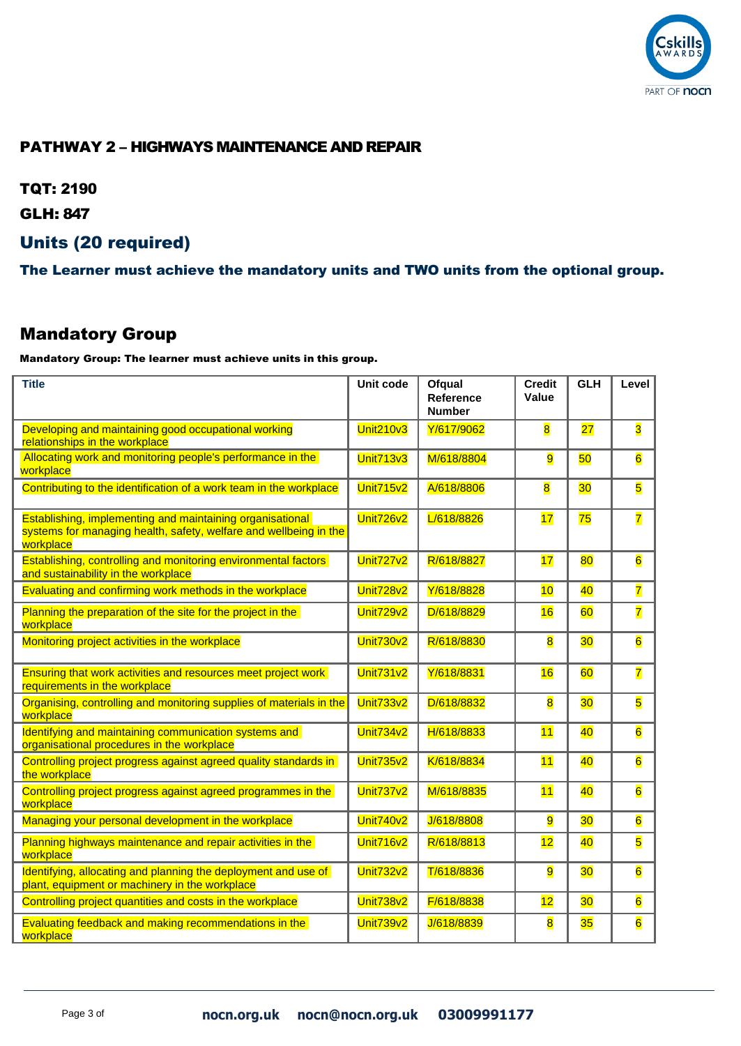

### PATHWAY 2 – HIGHWAYS MAINTENANCE AND REPAIR

TQT: 2190

GLH: 847

#### Units (20 required)

The Learner must achieve the mandatory units and TWO units from the optional group.

#### Mandatory Group

| <b>Title</b>                                                                                                                                | Unit code        | Ofqual<br>Reference<br><b>Number</b> | <b>Credit</b><br>Value  | <b>GLH</b> | Level                   |
|---------------------------------------------------------------------------------------------------------------------------------------------|------------------|--------------------------------------|-------------------------|------------|-------------------------|
| Developing and maintaining good occupational working<br>relationships in the workplace                                                      | <b>Unit210v3</b> | Y/617/9062                           | $\overline{\mathbf{8}}$ | 27         | 3                       |
| Allocating work and monitoring people's performance in the<br>workplace                                                                     | <b>Unit713v3</b> | M/618/8804                           | 9                       | 50         | $6\overline{6}$         |
| Contributing to the identification of a work team in the workplace                                                                          | <b>Unit715v2</b> | A/618/8806                           | $\overline{\mathbf{8}}$ | 30         | $\overline{\mathbf{5}}$ |
| Establishing, implementing and maintaining organisational<br>systems for managing health, safety, welfare and wellbeing in the<br>workplace | Unit726v2        | L/618/8826                           | 17                      | 75         | $\overline{7}$          |
| Establishing, controlling and monitoring environmental factors<br>and sustainability in the workplace                                       | <b>Unit727v2</b> | R/618/8827                           | 17                      | 80         | $\overline{6}$          |
| Evaluating and confirming work methods in the workplace                                                                                     | Unit728v2        | Y/618/8828                           | 10                      | 40         | $\overline{7}$          |
| Planning the preparation of the site for the project in the<br>workplace                                                                    | <b>Unit729v2</b> | D/618/8829                           | 16                      | 60         | $\overline{7}$          |
| Monitoring project activities in the workplace                                                                                              | <b>Unit730v2</b> | R/618/8830                           | $\overline{\mathbf{8}}$ | 30         | $\overline{6}$          |
| Ensuring that work activities and resources meet project work<br>requirements in the workplace                                              | <b>Unit731v2</b> | Y/618/8831                           | 16                      | 60         | $\overline{7}$          |
| Organising, controlling and monitoring supplies of materials in the<br>workplace                                                            | <b>Unit733v2</b> | D/618/8832                           | $\overline{\mathbf{8}}$ | 30         | $\overline{\mathbf{5}}$ |
| Identifying and maintaining communication systems and<br>organisational procedures in the workplace                                         | <b>Unit734v2</b> | H/618/8833                           | 11                      | 40         | $6\overline{6}$         |
| Controlling project progress against agreed quality standards in<br>the workplace                                                           | <b>Unit735v2</b> | K/618/8834                           | 11                      | 40         | $6\overline{6}$         |
| Controlling project progress against agreed programmes in the<br>workplace                                                                  | <b>Unit737v2</b> | M/618/8835                           | 11                      | 40         | $\overline{6}$          |
| Managing your personal development in the workplace                                                                                         | <b>Unit740v2</b> | J/618/8808                           | 9                       | 30         | $6\overline{6}$         |
| Planning highways maintenance and repair activities in the<br>workplace                                                                     | <b>Unit716v2</b> | R/618/8813                           | 12                      | 40         | 5                       |
| Identifying, allocating and planning the deployment and use of<br>plant, equipment or machinery in the workplace                            | <b>Unit732v2</b> | T/618/8836                           | $\overline{9}$          | 30         | $6\overline{6}$         |
| Controlling project quantities and costs in the workplace                                                                                   | <b>Unit738v2</b> | F/618/8838                           | 12                      | 30         | $6\overline{6}$         |
| Evaluating feedback and making recommendations in the<br>workplace                                                                          | Unit739v2        | J/618/8839                           | $\overline{\mathbf{8}}$ | 35         | $\overline{6}$          |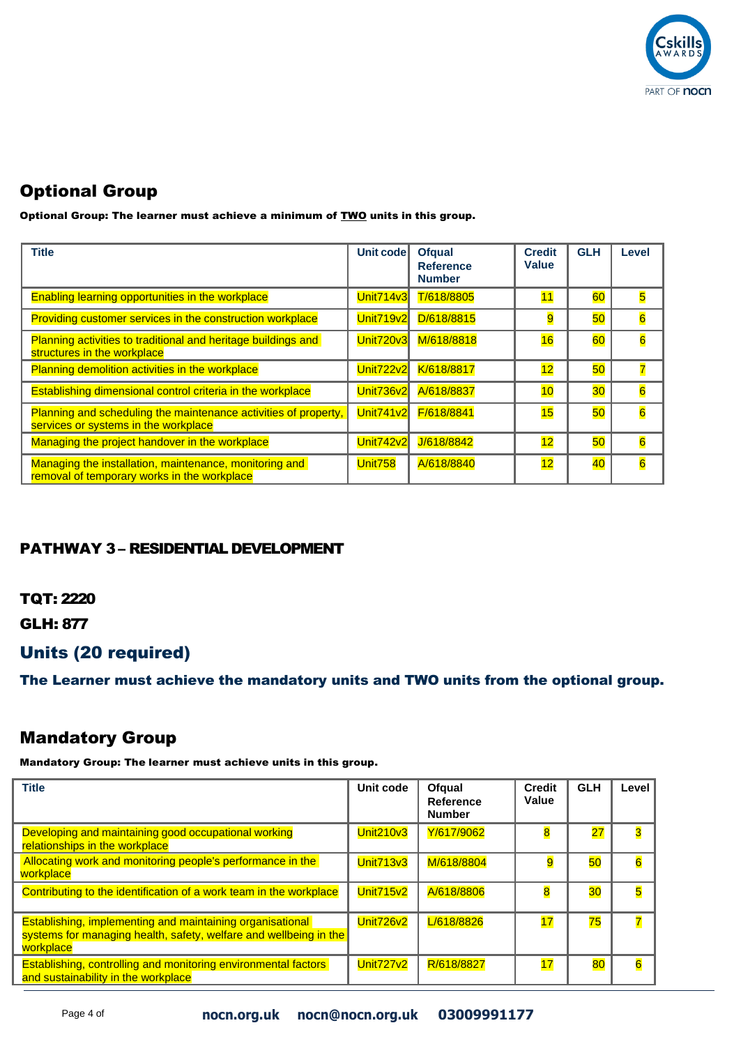

Optional Group: The learner must achieve a minimum of **TWO** units in this group.

| <b>Title</b>                                                                                            | Unit code        | <b>Ofqual</b><br><b>Reference</b><br><b>Number</b> | <b>Credit</b><br><b>Value</b> | <b>GLH</b> | Level                   |
|---------------------------------------------------------------------------------------------------------|------------------|----------------------------------------------------|-------------------------------|------------|-------------------------|
| <b>Enabling learning opportunities in the workplace</b>                                                 | <b>Unit714v3</b> | T/618/8805                                         | 11                            | 60         | $\overline{\mathbf{5}}$ |
| Providing customer services in the construction workplace                                               | <b>Unit719v2</b> | D/618/8815                                         | 9                             | 50         | 6                       |
| Planning activities to traditional and heritage buildings and<br>structures in the workplace            | <b>Unit720v3</b> | M/618/8818                                         | 16                            | 60         | $6\overline{6}$         |
| Planning demolition activities in the workplace                                                         | <b>Unit722v2</b> | K/618/8817                                         | 12                            | 50         | 7                       |
| Establishing dimensional control criteria in the workplace                                              | Unit736v2        | A/618/8837                                         | 10                            | 30         | $\overline{6}$          |
| Planning and scheduling the maintenance activities of property,<br>services or systems in the workplace | Unit741v2        | F/618/8841                                         | 15                            | 50         | $\overline{6}$          |
| Managing the project handover in the workplace                                                          | <b>Unit742v2</b> | J/618/8842                                         | 12                            | 50         | $\overline{6}$          |
| Managing the installation, maintenance, monitoring and<br>removal of temporary works in the workplace   | Unit758          | A/618/8840                                         | 12                            | 40         | $\overline{6}$          |

#### PATHWAY 3 – RESIDENTIAL DEVELOPMENT

TQT: 2220

GLH: 877

## Units (20 required)

The Learner must achieve the mandatory units and TWO units from the optional group.

## Mandatory Group

| <b>Title</b>                                                                                                                                | Unit code        | Ofqual<br>Reference<br><b>Number</b> | <b>Credit</b><br>Value | <b>GLH</b>      | Level                   |
|---------------------------------------------------------------------------------------------------------------------------------------------|------------------|--------------------------------------|------------------------|-----------------|-------------------------|
| Developing and maintaining good occupational working<br>relationships in the workplace                                                      | <b>Unit210v3</b> | Y/617/9062                           | 8                      | $\overline{27}$ | $\overline{\mathbf{3}}$ |
| Allocating work and monitoring people's performance in the<br>workplace                                                                     | <b>Unit713v3</b> | M/618/8804                           | 9                      | 50              | $6\overline{6}$         |
| Contributing to the identification of a work team in the workplace                                                                          | <b>Unit715v2</b> | A/618/8806                           | 8                      | 30 <sub>o</sub> | $\overline{\mathbf{5}}$ |
| Establishing, implementing and maintaining organisational<br>systems for managing health, safety, welfare and wellbeing in the<br>workplace | Unit726v2        | L/618/8826                           | 17                     | 75              | $\overline{7}$          |
| <b>Establishing, controlling and monitoring environmental factors</b><br>and sustainability in the workplace                                | <b>Unit727v2</b> | R/618/8827                           | 17                     | 80              | $\overline{6}$          |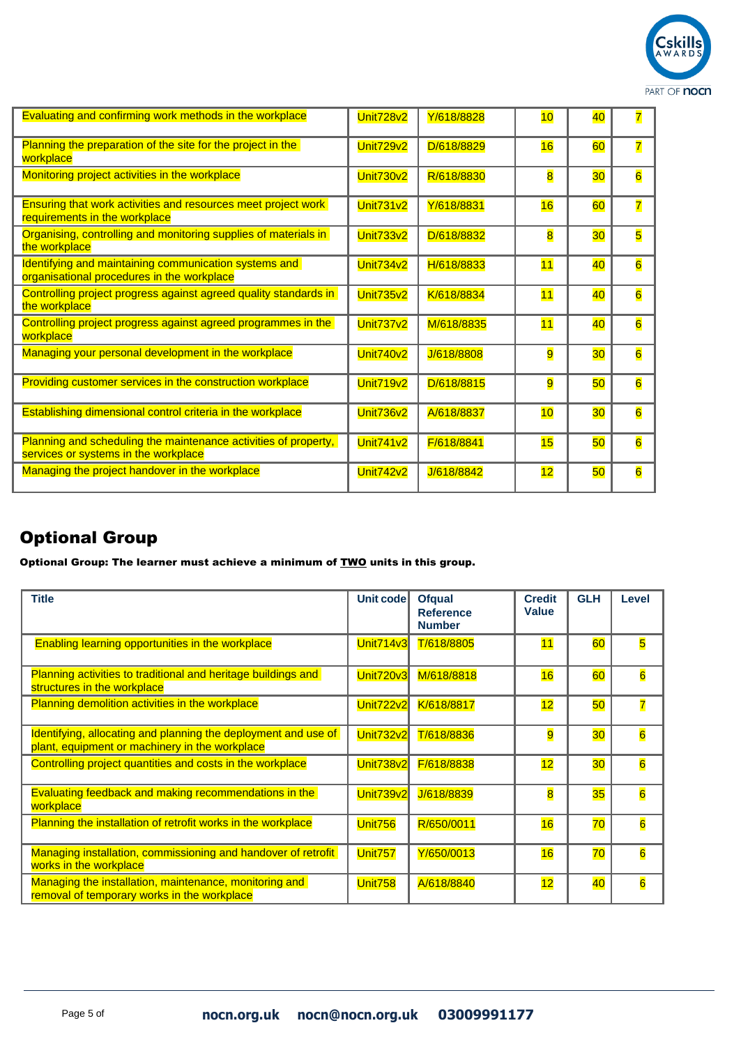

| Evaluating and confirming work methods in the workplace                                                 | Unit728v2        | Y/618/8828 | 10 | 40              | $\overline{7}$          |
|---------------------------------------------------------------------------------------------------------|------------------|------------|----|-----------------|-------------------------|
| Planning the preparation of the site for the project in the<br>workplace                                | Unit729v2        | D/618/8829 | 16 | 60              | $\overline{\mathbf{7}}$ |
| Monitoring project activities in the workplace                                                          | <b>Unit730v2</b> | R/618/8830 | 8  | 30 <sub>o</sub> | $\overline{6}$          |
| Ensuring that work activities and resources meet project work<br>requirements in the workplace          | <b>Unit731v2</b> | Y/618/8831 | 16 | 60              | $\overline{\mathbf{7}}$ |
| Organising, controlling and monitoring supplies of materials in<br>the workplace                        | <b>Unit733v2</b> | D/618/8832 | 8  | 30              | 5                       |
| Identifying and maintaining communication systems and<br>organisational procedures in the workplace     | <b>Unit734v2</b> | H/618/8833 | 11 | 40              | $\overline{6}$          |
| Controlling project progress against agreed quality standards in<br>the workplace                       | <b>Unit735v2</b> | K/618/8834 | 11 | 40              | $\overline{6}$          |
| Controlling project progress against agreed programmes in the<br>workplace                              | <b>Unit737v2</b> | M/618/8835 | 11 | 40              | $\overline{6}$          |
| Managing your personal development in the workplace                                                     | <b>Unit740v2</b> | J/618/8808 | 9  | 30              | $\overline{6}$          |
| Providing customer services in the construction workplace                                               | Unit719v2        | D/618/8815 | 9  | 50              | $6\overline{6}$         |
| Establishing dimensional control criteria in the workplace                                              | Unit736v2        | A/618/8837 | 10 | 30              | $\overline{6}$          |
| Planning and scheduling the maintenance activities of property,<br>services or systems in the workplace | <b>Unit741v2</b> | F/618/8841 | 15 | 50              | $\overline{6}$          |
| Managing the project handover in the workplace                                                          | <b>Unit742v2</b> | J/618/8842 | 12 | 50              | $\overline{6}$          |

Optional Group: The learner must achieve a minimum of **TWO** units in this group.

| <b>Title</b>                                                                                                     | <b>Unit code</b> | <b>Ofqual</b><br><b>Reference</b><br><b>Number</b> | <b>Credit</b><br><b>Value</b> | <b>GLH</b>      | Level                   |
|------------------------------------------------------------------------------------------------------------------|------------------|----------------------------------------------------|-------------------------------|-----------------|-------------------------|
| Enabling learning opportunities in the workplace                                                                 | Unit714v3        | T/618/8805                                         | 11                            | 60              | $\overline{\mathbf{5}}$ |
| Planning activities to traditional and heritage buildings and<br>structures in the workplace                     | <b>Unit720v3</b> | M/618/8818                                         | 16                            | 60              | $6\overline{6}$         |
| Planning demolition activities in the workplace                                                                  | <b>Unit722v2</b> | K/618/8817                                         | 12                            | 50              | $\overline{\mathbf{7}}$ |
| Identifying, allocating and planning the deployment and use of<br>plant, equipment or machinery in the workplace | <b>Unit732v2</b> | T/618/8836                                         | 9                             | 30 <sub>o</sub> | $6\overline{6}$         |
| Controlling project quantities and costs in the workplace                                                        | <b>Unit738v2</b> | F/618/8838                                         | 12                            | 30 <sub>o</sub> | $\overline{6}$          |
| Evaluating feedback and making recommendations in the<br>workplace                                               | <b>Unit739v2</b> | J/618/8839                                         | 8                             | 35              | $6\overline{6}$         |
| Planning the installation of retrofit works in the workplace                                                     | <b>Unit756</b>   | R/650/0011                                         | 16                            | 70              | $\overline{6}$          |
| Managing installation, commissioning and handover of retrofit<br>works in the workplace                          | Unit757          | Y/650/0013                                         | 16                            | 70              | $\overline{6}$          |
| Managing the installation, maintenance, monitoring and<br>removal of temporary works in the workplace            | <b>Unit758</b>   | A/618/8840                                         | 12                            | 40              | $\overline{6}$          |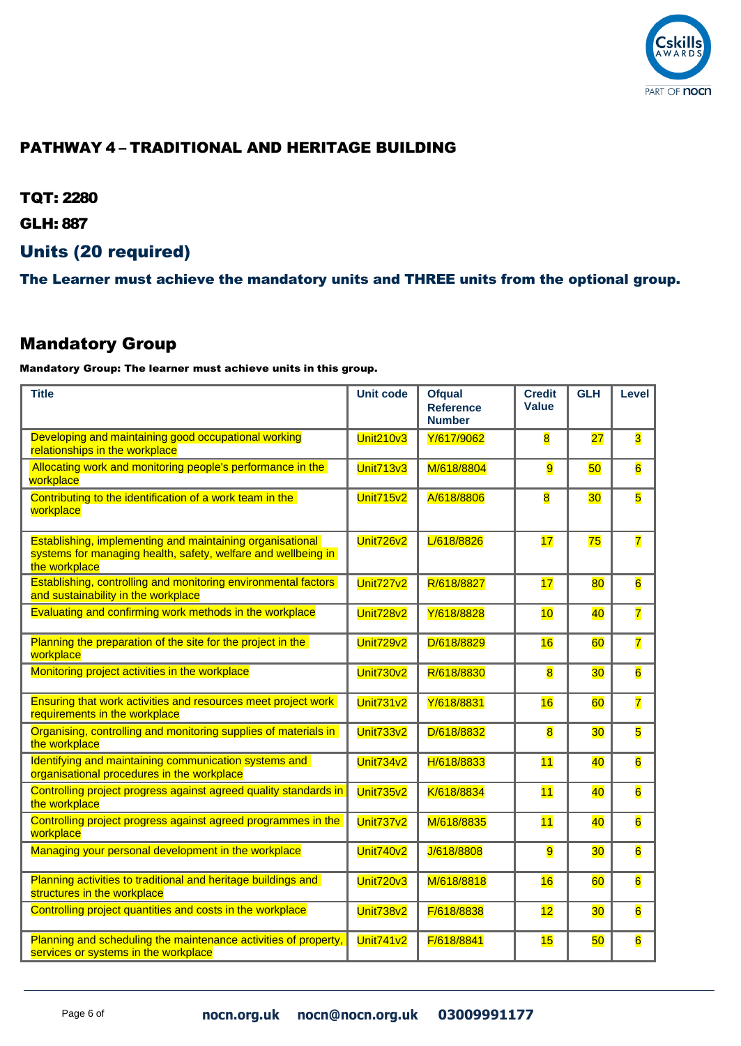

### PATHWAY 4 – TRADITIONAL AND HERITAGE BUILDING

TQT: 2280

GLH: 887

## Units (20 required)

The Learner must achieve the mandatory units and THREE units from the optional group.

### Mandatory Group

| <b>Title</b>                                                                                                                                | <b>Unit code</b> | <b>Ofqual</b><br><b>Reference</b><br><b>Number</b> | <b>Credit</b><br><b>Value</b> | <b>GLH</b>      | Level                   |
|---------------------------------------------------------------------------------------------------------------------------------------------|------------------|----------------------------------------------------|-------------------------------|-----------------|-------------------------|
| Developing and maintaining good occupational working<br>relationships in the workplace                                                      | <b>Unit210v3</b> | Y/617/9062                                         | $\overline{\mathbf{8}}$       | $\overline{27}$ | $\overline{\mathbf{3}}$ |
| Allocating work and monitoring people's performance in the<br>workplace                                                                     | <b>Unit713v3</b> | M/618/8804                                         | 9                             | 50              | $6\overline{6}$         |
| Contributing to the identification of a work team in the<br>workplace                                                                       | <b>Unit715v2</b> | A/618/8806                                         | $\overline{\mathbf{8}}$       | 30              | $\overline{\mathbf{5}}$ |
| Establishing, implementing and maintaining organisational<br>systems for managing health, safety, welfare and wellbeing in<br>the workplace | <b>Unit726v2</b> | L/618/8826                                         | 17                            | 75              | $\overline{\mathbf{7}}$ |
| Establishing, controlling and monitoring environmental factors<br>and sustainability in the workplace                                       | <b>Unit727v2</b> | R/618/8827                                         | 17                            | 80              | $6\overline{6}$         |
| Evaluating and confirming work methods in the workplace                                                                                     | Unit728v2        | Y/618/8828                                         | 10                            | 40              | $\overline{7}$          |
| Planning the preparation of the site for the project in the<br>workplace                                                                    | Unit729v2        | D/618/8829                                         | 16                            | 60              | $\overline{7}$          |
| Monitoring project activities in the workplace                                                                                              | <b>Unit730v2</b> | R/618/8830                                         | $\overline{\mathbf{8}}$       | 30              | $\overline{6}$          |
| Ensuring that work activities and resources meet project work<br>requirements in the workplace                                              | <b>Unit731v2</b> | Y/618/8831                                         | 16                            | 60              | $\overline{7}$          |
| Organising, controlling and monitoring supplies of materials in<br>the workplace                                                            | <b>Unit733v2</b> | D/618/8832                                         | $\overline{\mathbf{8}}$       | 30              | 5                       |
| Identifying and maintaining communication systems and<br>organisational procedures in the workplace                                         | <b>Unit734v2</b> | H/618/8833                                         | 11                            | 40              | $\overline{6}$          |
| Controlling project progress against agreed quality standards in<br>the workplace                                                           | <b>Unit735v2</b> | K/618/8834                                         | 11                            | 40              | $\overline{6}$          |
| Controlling project progress against agreed programmes in the<br>workplace                                                                  | <b>Unit737v2</b> | M/618/8835                                         | 11                            | 40              | $\overline{6}$          |
| Managing your personal development in the workplace                                                                                         | Unit740v2        | J/618/8808                                         | 9                             | 30              | $\overline{6}$          |
| Planning activities to traditional and heritage buildings and<br>structures in the workplace                                                | <b>Unit720v3</b> | M/618/8818                                         | 16                            | 60              | $\overline{6}$          |
| Controlling project quantities and costs in the workplace                                                                                   | Unit738v2        | F/618/8838                                         | 12                            | 30              | $6\overline{6}$         |
| Planning and scheduling the maintenance activities of property,<br>services or systems in the workplace                                     | <b>Unit741v2</b> | F/618/8841                                         | 15                            | 50              | $\overline{6}$          |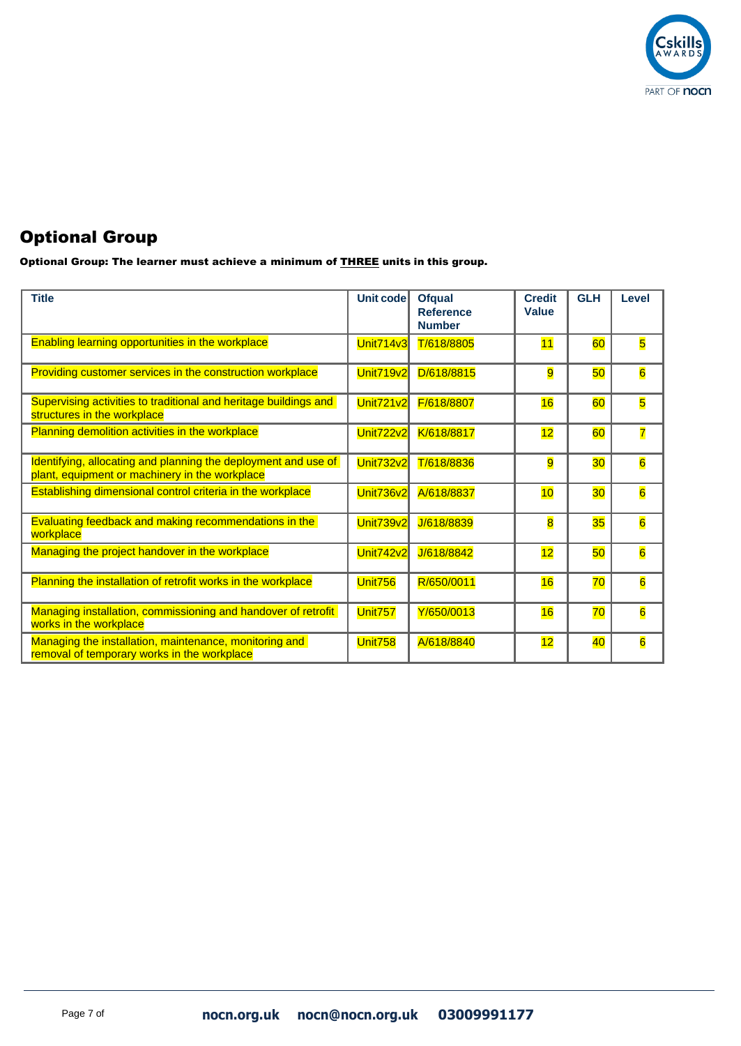

Optional Group: The learner must achieve a minimum of **THREE** units in this group.

| <b>Title</b>                                                                                                     | <b>Unit code</b> | <b>Ofqual</b><br><b>Reference</b><br><b>Number</b> | <b>Credit</b><br><b>Value</b> | <b>GLH</b>      | Level           |
|------------------------------------------------------------------------------------------------------------------|------------------|----------------------------------------------------|-------------------------------|-----------------|-----------------|
| Enabling learning opportunities in the workplace                                                                 | <b>Unit714v3</b> | T/618/8805                                         | 11                            | 60              | 5               |
| Providing customer services in the construction workplace                                                        | <b>Unit719v2</b> | D/618/8815                                         | $\overline{9}$                | 50              | 6               |
| Supervising activities to traditional and heritage buildings and<br>structures in the workplace                  | <b>Unit721v2</b> | F/618/8807                                         | 16                            | 60              | 5               |
| Planning demolition activities in the workplace                                                                  | Unit722v2        | K/618/8817                                         | 12                            | 60              | 7               |
| Identifying, allocating and planning the deployment and use of<br>plant, equipment or machinery in the workplace | <b>Unit732v2</b> | T/618/8836                                         | 9                             | 30              | $\overline{6}$  |
| Establishing dimensional control criteria in the workplace                                                       | Unit736v2        | A/618/8837                                         | 10                            | 30 <sub>o</sub> | $\overline{6}$  |
| <b>Evaluating feedback and making recommendations in the</b><br>workplace                                        | Unit739v2        | J/618/8839                                         | $\overline{\mathbf{8}}$       | 35              | $\overline{6}$  |
| Managing the project handover in the workplace                                                                   | <b>Unit742v2</b> | J/618/8842                                         | 12                            | 50              | $\overline{6}$  |
| Planning the installation of retrofit works in the workplace                                                     | Unit756          | R/650/0011                                         | 16                            | 70              | $6\overline{6}$ |
| Managing installation, commissioning and handover of retrofit<br>works in the workplace                          | Unit757          | Y/650/0013                                         | 16                            | 70              | $\overline{6}$  |
| Managing the installation, maintenance, monitoring and<br>removal of temporary works in the workplace            | <b>Unit758</b>   | A/618/8840                                         | 12                            | 40              | $\overline{6}$  |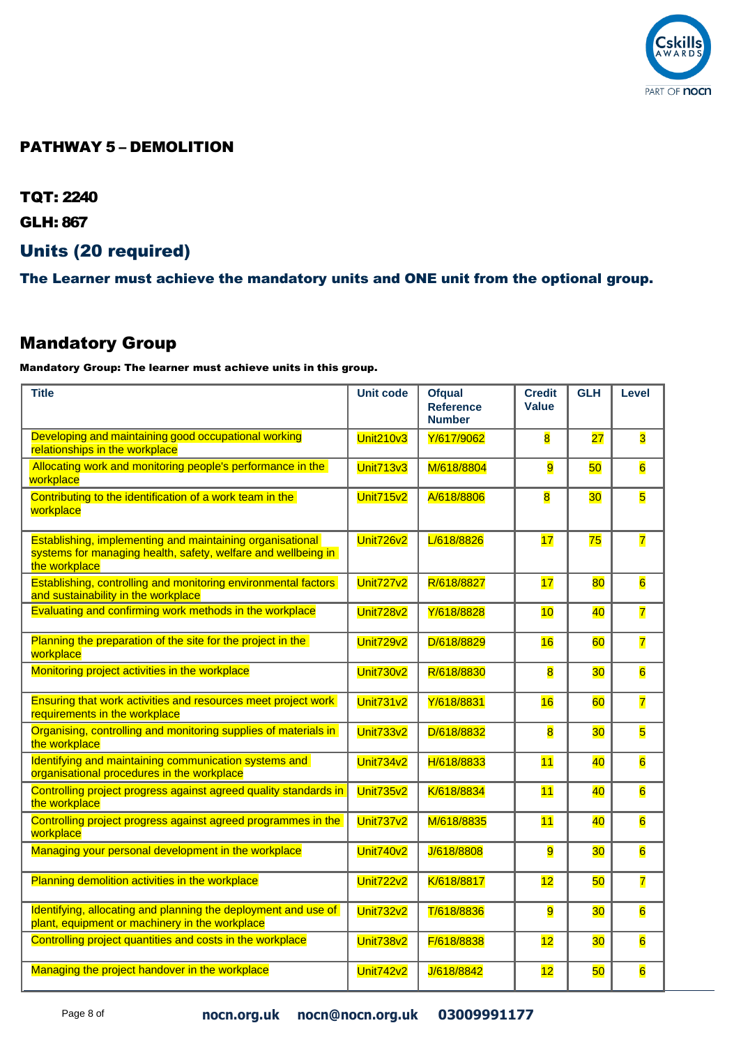

#### PATHWAY 5 – DEMOLITION

TQT: 2240

GLH: 867

### Units (20 required)

The Learner must achieve the mandatory units and ONE unit from the optional group.

## Mandatory Group

| <b>Title</b>                                                                                                                                | <b>Unit code</b> | <b>Ofqual</b><br><b>Reference</b><br><b>Number</b> | <b>Credit</b><br><b>Value</b> | <b>GLH</b> | Level                   |
|---------------------------------------------------------------------------------------------------------------------------------------------|------------------|----------------------------------------------------|-------------------------------|------------|-------------------------|
| Developing and maintaining good occupational working<br>relationships in the workplace                                                      | <b>Unit210v3</b> | Y/617/9062                                         | $\overline{\mathbf{8}}$       | 27         | 3                       |
| Allocating work and monitoring people's performance in the<br>workplace                                                                     | <b>Unit713v3</b> | M/618/8804                                         | 9                             | 50         | $\overline{6}$          |
| Contributing to the identification of a work team in the<br>workplace                                                                       | Unit715v2        | A/618/8806                                         | $\overline{\mathbf{8}}$       | 30         | $\overline{\mathbf{5}}$ |
| Establishing, implementing and maintaining organisational<br>systems for managing health, safety, welfare and wellbeing in<br>the workplace | Unit726v2        | L/618/8826                                         | 17                            | 75         | $\overline{\mathbf{7}}$ |
| Establishing, controlling and monitoring environmental factors<br>and sustainability in the workplace                                       | <b>Unit727v2</b> | R/618/8827                                         | 17                            | 80         | $6\overline{6}$         |
| Evaluating and confirming work methods in the workplace                                                                                     | <b>Unit728v2</b> | Y/618/8828                                         | 10                            | 40         | $\overline{7}$          |
| Planning the preparation of the site for the project in the<br>workplace                                                                    | <b>Unit729v2</b> | D/618/8829                                         | 16                            | 60         | $\overline{7}$          |
| Monitoring project activities in the workplace                                                                                              | Unit730v2        | R/618/8830                                         | 8                             | 30         | $6\overline{6}$         |
| <b>Ensuring that work activities and resources meet project work</b><br>requirements in the workplace                                       | <b>Unit731v2</b> | Y/618/8831                                         | 16                            | 60         | 7                       |
| Organising, controlling and monitoring supplies of materials in<br>the workplace                                                            | <b>Unit733v2</b> | D/618/8832                                         | 8                             | 30         | 5                       |
| Identifying and maintaining communication systems and<br>organisational procedures in the workplace                                         | <b>Unit734v2</b> | H/618/8833                                         | 11                            | 40         | $6\overline{6}$         |
| Controlling project progress against agreed quality standards in<br>the workplace                                                           | <b>Unit735v2</b> | K/618/8834                                         | 11                            | 40         | $\overline{6}$          |
| Controlling project progress against agreed programmes in the<br>workplace                                                                  | <b>Unit737v2</b> | M/618/8835                                         | 11                            | 40         | $6\overline{6}$         |
| Managing your personal development in the workplace                                                                                         | Unit740v2        | J/618/8808                                         | 9                             | 30         | $6\overline{6}$         |
| Planning demolition activities in the workplace                                                                                             | <b>Unit722v2</b> | K/618/8817                                         | 12                            | 50         | $\overline{\mathbf{7}}$ |
| Identifying, allocating and planning the deployment and use of<br>plant, equipment or machinery in the workplace                            | <b>Unit732v2</b> | T/618/8836                                         | 9                             | 30         | $6\overline{6}$         |
| Controlling project quantities and costs in the workplace                                                                                   | <b>Unit738v2</b> | F/618/8838                                         | 12                            | 30         | $6\overline{6}$         |
| Managing the project handover in the workplace                                                                                              | <b>Unit742v2</b> | J/618/8842                                         | 12                            | 50         | $6\overline{6}$         |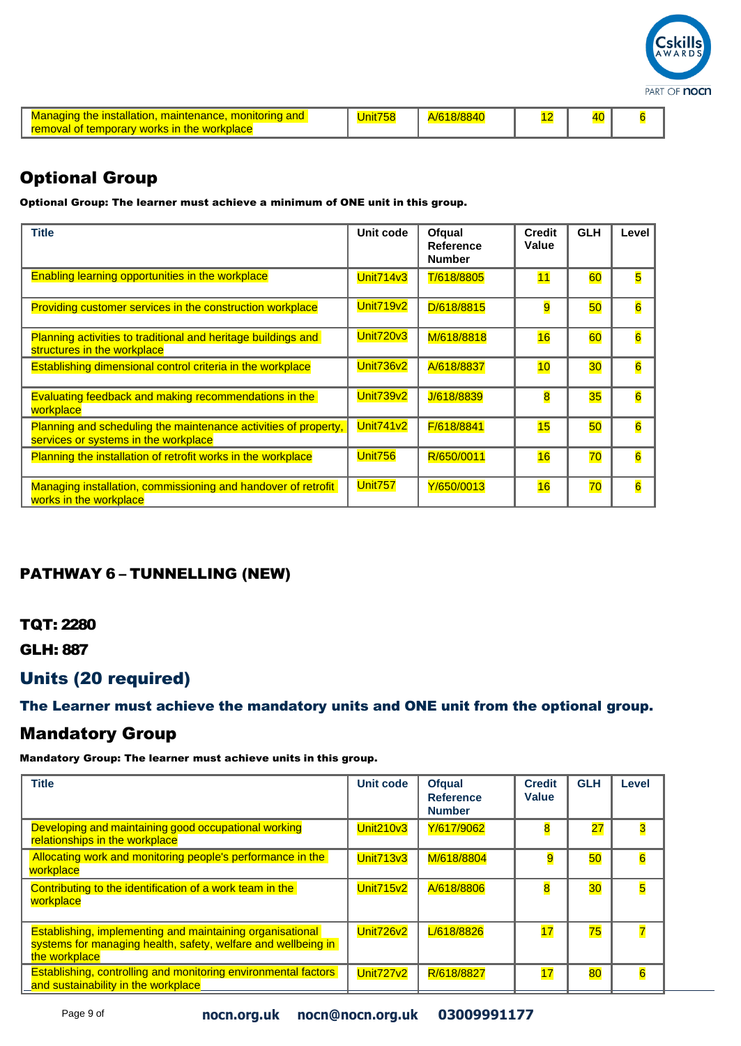

| <b>Managing the installation, maintenance, monitoring</b><br>removal of temporary works in the workplace |  | 18/884 |  |  |  |
|----------------------------------------------------------------------------------------------------------|--|--------|--|--|--|
|----------------------------------------------------------------------------------------------------------|--|--------|--|--|--|

Optional Group: The learner must achieve a minimum of ONE unit in this group.

| <b>Title</b>                                                                                            | Unit code        | Ofqual<br>Reference<br><b>Number</b> | <b>Credit</b><br>Value  | <b>GLH</b> | Level           |
|---------------------------------------------------------------------------------------------------------|------------------|--------------------------------------|-------------------------|------------|-----------------|
| <b>Enabling learning opportunities in the workplace</b>                                                 | <b>Unit714v3</b> | T/618/8805                           | 11                      | 60         | 5               |
| Providing customer services in the construction workplace                                               | <b>Unit719v2</b> | D/618/8815                           | 9                       | 50         | $\overline{6}$  |
| Planning activities to traditional and heritage buildings and<br>structures in the workplace            | <b>Unit720v3</b> | M/618/8818                           | 16                      | 60         | $6\overline{6}$ |
| Establishing dimensional control criteria in the workplace                                              | <b>Unit736v2</b> | A/618/8837                           | 10                      | 30         | $\overline{6}$  |
| Evaluating feedback and making recommendations in the<br>workplace                                      | <b>Unit739v2</b> | J/618/8839                           | $\overline{\mathbf{8}}$ | 35         | $\overline{6}$  |
| Planning and scheduling the maintenance activities of property,<br>services or systems in the workplace | <b>Unit741v2</b> | F/618/8841                           | 15                      | 50         | $\overline{6}$  |
| Planning the installation of retrofit works in the workplace                                            | Unit756          | R/650/0011                           | 16                      | 70         | $6\overline{6}$ |
| Managing installation, commissioning and handover of retrofit<br>works in the workplace                 | Unit757          | Y/650/0013                           | 16                      | 70         | $6\overline{6}$ |

### PATHWAY 6 – TUNNELLING (NEW)

#### TQT: 2280

GLH: 887

## Units (20 required)

The Learner must achieve the mandatory units and ONE unit from the optional group.

#### Mandatory Group

| <b>Title</b>                                                                                                                                       | <b>Unit code</b> | <b>Ofqual</b><br><b>Reference</b><br><b>Number</b> | <b>Credit</b><br><b>Value</b> | <b>GLH</b> | Level           |
|----------------------------------------------------------------------------------------------------------------------------------------------------|------------------|----------------------------------------------------|-------------------------------|------------|-----------------|
| Developing and maintaining good occupational working<br>relationships in the workplace                                                             | <b>Unit210v3</b> | Y/617/9062                                         | 8                             | 27         | 3               |
| Allocating work and monitoring people's performance in the<br>workplace                                                                            | <b>Unit713v3</b> | M/618/8804                                         | 9                             | 50         | $\overline{6}$  |
| Contributing to the identification of a work team in the<br>workplace                                                                              | <b>Unit715v2</b> | A/618/8806                                         | 8                             | 30         | 5               |
| <b>Establishing, implementing and maintaining organisational</b><br>systems for managing health, safety, welfare and wellbeing in<br>the workplace | <b>Unit726v2</b> | L/618/8826                                         | 17                            | 75         | $\overline{7}$  |
| <b>Establishing, controlling and monitoring environmental factors</b><br>and sustainability in the workplace                                       | <b>Unit727v2</b> | R/618/8827                                         | 17                            | 80         | $6\overline{6}$ |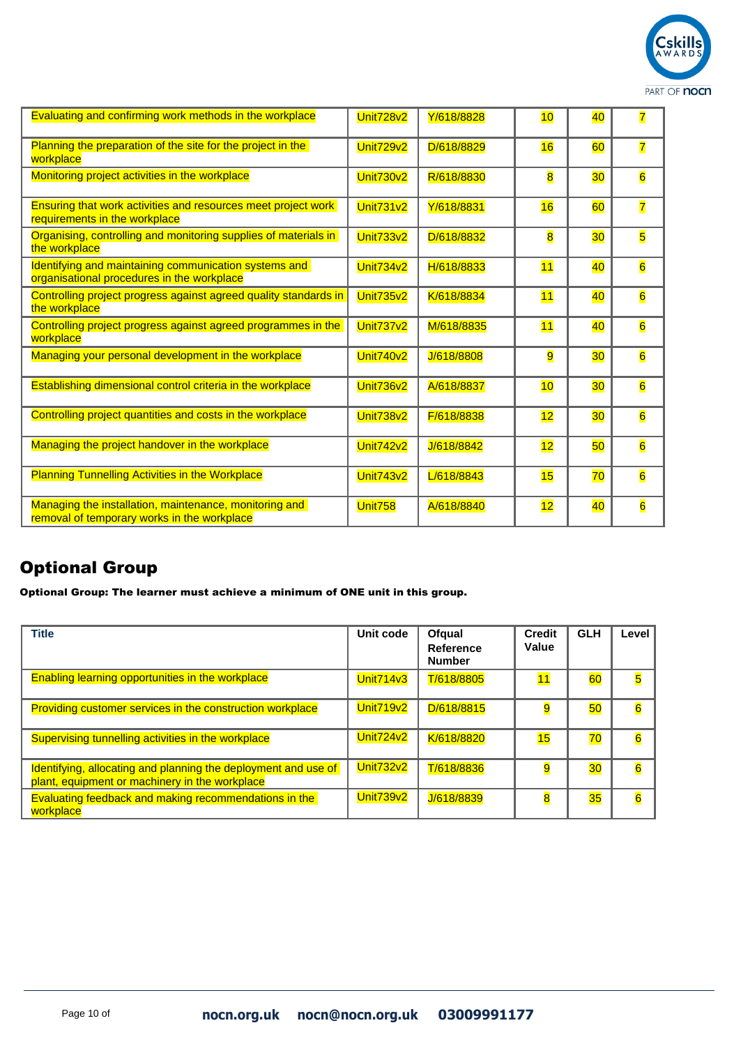

| Evaluating and confirming work methods in the workplace                                               | Unit728v2        | Y/618/8828 | 10                      | 40 | 7                       |
|-------------------------------------------------------------------------------------------------------|------------------|------------|-------------------------|----|-------------------------|
| Planning the preparation of the site for the project in the<br>workplace                              | <b>Unit729v2</b> | D/618/8829 | 16                      | 60 | 7                       |
| Monitoring project activities in the workplace                                                        | Unit730v2        | R/618/8830 | $\overline{\mathbf{8}}$ | 30 | $\overline{6}$          |
| Ensuring that work activities and resources meet project work<br>requirements in the workplace        | <b>Unit731v2</b> | Y/618/8831 | 16                      | 60 | $\overline{\mathbf{7}}$ |
| Organising, controlling and monitoring supplies of materials in<br>the workplace                      | <b>Unit733v2</b> | D/618/8832 | $\overline{\mathbf{8}}$ | 30 | 5                       |
| Identifying and maintaining communication systems and<br>organisational procedures in the workplace   | <b>Unit734v2</b> | H/618/8833 | 11                      | 40 | $6\overline{6}$         |
| Controlling project progress against agreed quality standards in<br>the workplace                     | <b>Unit735v2</b> | K/618/8834 | 11                      | 40 | $6\overline{6}$         |
| Controlling project progress against agreed programmes in the<br>workplace                            | <b>Unit737v2</b> | M/618/8835 | 11                      | 40 | $\overline{6}$          |
| Managing your personal development in the workplace                                                   | <b>Unit740v2</b> | J/618/8808 | $\overline{9}$          | 30 | $\overline{6}$          |
| Establishing dimensional control criteria in the workplace                                            | Unit736v2        | A/618/8837 | 10                      | 30 | $6\overline{6}$         |
| Controlling project quantities and costs in the workplace                                             | <b>Unit738v2</b> | F/618/8838 | 12                      | 30 | $6\overline{6}$         |
| Managing the project handover in the workplace                                                        | <b>Unit742v2</b> | J/618/8842 | 12                      | 50 | $6\overline{6}$         |
| <b>Planning Tunnelling Activities in the Workplace</b>                                                | <b>Unit743v2</b> | L/618/8843 | 15                      | 70 | $6\overline{6}$         |
| Managing the installation, maintenance, monitoring and<br>removal of temporary works in the workplace | <b>Unit758</b>   | A/618/8840 | 12                      | 40 | $6\overline{6}$         |

Optional Group: The learner must achieve a minimum of ONE unit in this group.

| <b>Title</b>                                                                                                     | Unit code        | Ofqual<br><b>Reference</b><br><b>Number</b> | <b>Credit</b><br>Value | <b>GLH</b> | Level           |
|------------------------------------------------------------------------------------------------------------------|------------------|---------------------------------------------|------------------------|------------|-----------------|
| <b>Enabling learning opportunities in the workplace</b>                                                          | <b>Unit714v3</b> | T/618/8805                                  | 11                     | 60         | 5               |
| Providing customer services in the construction workplace                                                        | <b>Unit719v2</b> | D/618/8815                                  | 9                      | 50         | $6\overline{6}$ |
| Supervising tunnelling activities in the workplace                                                               | <b>Unit724v2</b> | K/618/8820                                  | 15                     | 70         | $6\overline{6}$ |
| Identifying, allocating and planning the deployment and use of<br>plant, equipment or machinery in the workplace | <b>Unit732v2</b> | T/618/8836                                  | 9                      | 30         | $6\overline{6}$ |
| Evaluating feedback and making recommendations in the<br>workplace                                               | <b>Unit739v2</b> | J/618/8839                                  | 8                      | 35         | $\overline{6}$  |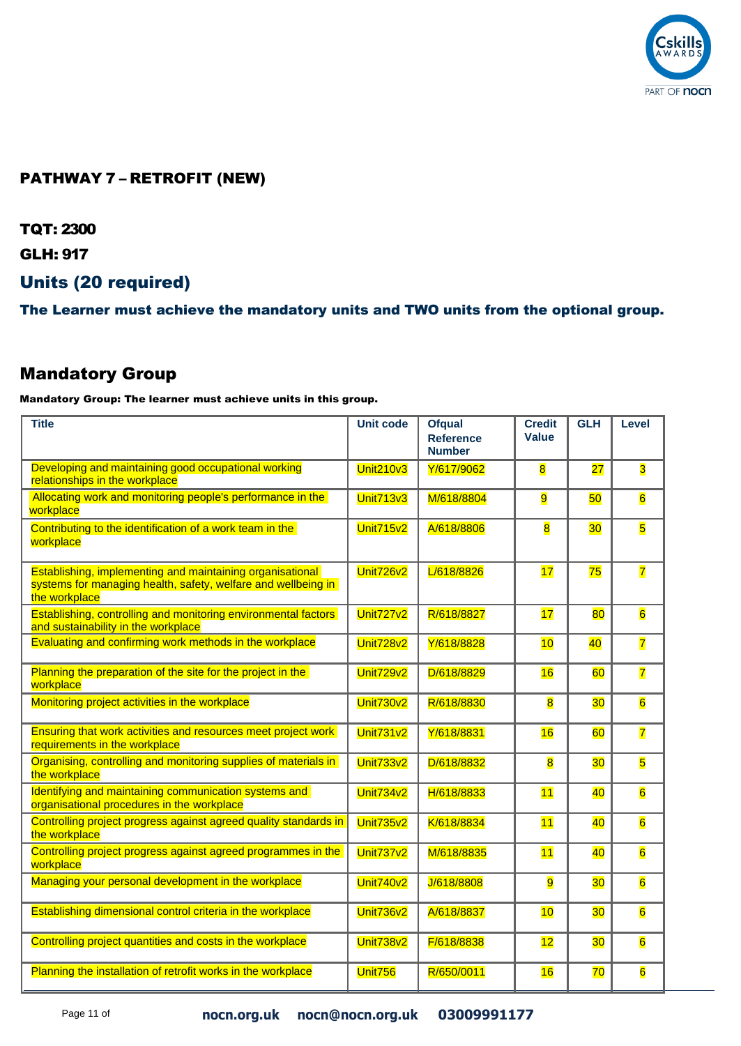

## PATHWAY 7 – RETROFIT (NEW)

TQT: 2300

GLH: 917

### Units (20 required)

The Learner must achieve the mandatory units and TWO units from the optional group.

## Mandatory Group

| <b>Title</b>                                                                                                                                | <b>Unit code</b> | <b>Ofqual</b><br><b>Reference</b><br><b>Number</b> | <b>Credit</b><br><b>Value</b> | <b>GLH</b>      | Level                   |
|---------------------------------------------------------------------------------------------------------------------------------------------|------------------|----------------------------------------------------|-------------------------------|-----------------|-------------------------|
| Developing and maintaining good occupational working<br>relationships in the workplace                                                      | <b>Unit210v3</b> | Y/617/9062                                         | $\overline{\mathbf{8}}$       | $\overline{27}$ | $\overline{\mathbf{3}}$ |
| Allocating work and monitoring people's performance in the<br>workplace                                                                     | <b>Unit713v3</b> | M/618/8804                                         | 9                             | 50              | $\overline{6}$          |
| Contributing to the identification of a work team in the<br>workplace                                                                       | <b>Unit715v2</b> | A/618/8806                                         | $\overline{8}$                | 30              | 5                       |
| Establishing, implementing and maintaining organisational<br>systems for managing health, safety, welfare and wellbeing in<br>the workplace | Unit726v2        | L/618/8826                                         | 17                            | 75              | $\overline{7}$          |
| Establishing, controlling and monitoring environmental factors<br>and sustainability in the workplace                                       | <b>Unit727v2</b> | R/618/8827                                         | 17                            | 80              | $\overline{6}$          |
| Evaluating and confirming work methods in the workplace                                                                                     | Unit728v2        | Y/618/8828                                         | 10                            | 40              | $\overline{\mathbf{7}}$ |
| Planning the preparation of the site for the project in the<br>workplace                                                                    | Unit729v2        | D/618/8829                                         | 16                            | 60              | $\overline{\mathbf{7}}$ |
| Monitoring project activities in the workplace                                                                                              | <b>Unit730v2</b> | R/618/8830                                         | $\overline{\mathbf{8}}$       | 30              | 6                       |
| <b>Ensuring that work activities and resources meet project work</b><br>requirements in the workplace                                       | <b>Unit731v2</b> | Y/618/8831                                         | 16                            | 60              | 7                       |
| Organising, controlling and monitoring supplies of materials in<br>the workplace                                                            | <b>Unit733v2</b> | D/618/8832                                         | $\overline{\mathbf{8}}$       | 30              | 5                       |
| Identifying and maintaining communication systems and<br>organisational procedures in the workplace                                         | <b>Unit734v2</b> | H/618/8833                                         | 11                            | 40              | $\overline{6}$          |
| Controlling project progress against agreed quality standards in<br>the workplace                                                           | <b>Unit735v2</b> | K/618/8834                                         | 11                            | 40              | $\overline{\mathbf{6}}$ |
| Controlling project progress against agreed programmes in the<br>workplace                                                                  | <b>Unit737v2</b> | M/618/8835                                         | 11                            | 40              | $\overline{6}$          |
| Managing your personal development in the workplace                                                                                         | Unit740v2        | J/618/8808                                         | 9                             | 30              | $\overline{6}$          |
| Establishing dimensional control criteria in the workplace                                                                                  | <b>Unit736v2</b> | A/618/8837                                         | 10                            | 30              | 6                       |
| Controlling project quantities and costs in the workplace                                                                                   | Unit738v2        | F/618/8838                                         | 12                            | 30              | $\overline{\mathbf{6}}$ |
| Planning the installation of retrofit works in the workplace                                                                                | Unit756          | R/650/0011                                         | 16                            | $\overline{70}$ | $\overline{6}$          |